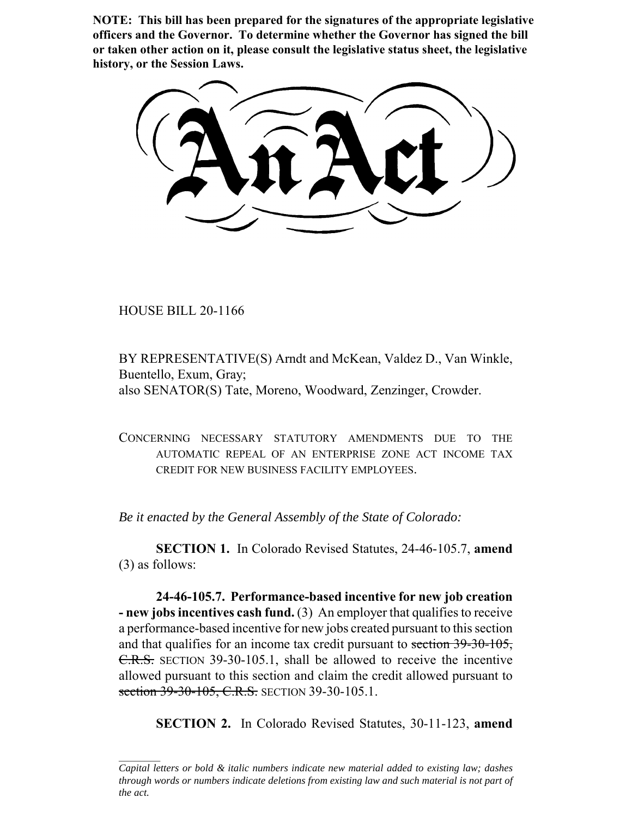**NOTE: This bill has been prepared for the signatures of the appropriate legislative officers and the Governor. To determine whether the Governor has signed the bill or taken other action on it, please consult the legislative status sheet, the legislative history, or the Session Laws.**

HOUSE BILL 20-1166

BY REPRESENTATIVE(S) Arndt and McKean, Valdez D., Van Winkle, Buentello, Exum, Gray; also SENATOR(S) Tate, Moreno, Woodward, Zenzinger, Crowder.

CONCERNING NECESSARY STATUTORY AMENDMENTS DUE TO THE AUTOMATIC REPEAL OF AN ENTERPRISE ZONE ACT INCOME TAX CREDIT FOR NEW BUSINESS FACILITY EMPLOYEES.

*Be it enacted by the General Assembly of the State of Colorado:*

**SECTION 1.** In Colorado Revised Statutes, 24-46-105.7, **amend** (3) as follows:

**24-46-105.7. Performance-based incentive for new job creation - new jobs incentives cash fund.** (3) An employer that qualifies to receive a performance-based incentive for new jobs created pursuant to this section and that qualifies for an income tax credit pursuant to section 39-30-105, C.R.S. SECTION 39-30-105.1, shall be allowed to receive the incentive allowed pursuant to this section and claim the credit allowed pursuant to section 39-30-105, C.R.S. SECTION 39-30-105.1.

**SECTION 2.** In Colorado Revised Statutes, 30-11-123, **amend**

*Capital letters or bold & italic numbers indicate new material added to existing law; dashes through words or numbers indicate deletions from existing law and such material is not part of the act.*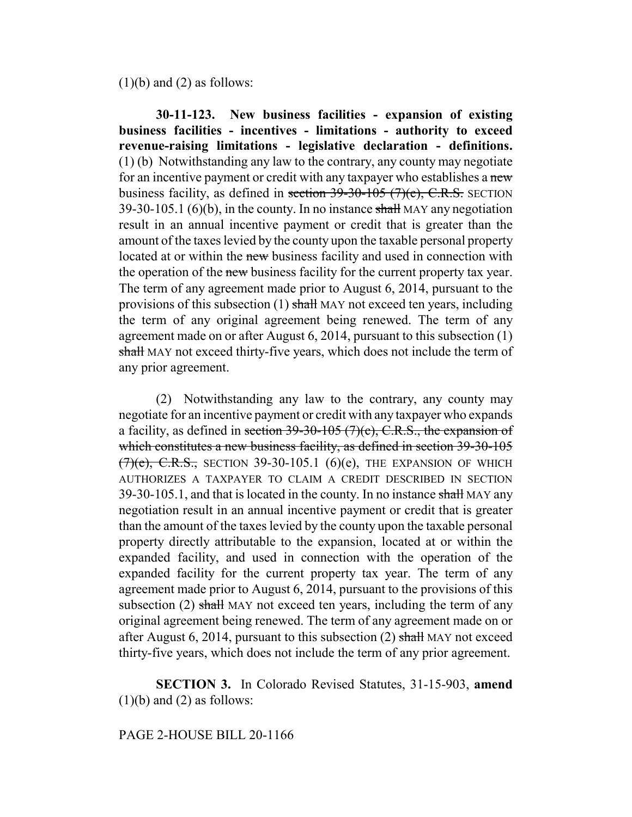$(1)(b)$  and  $(2)$  as follows:

**30-11-123. New business facilities - expansion of existing business facilities - incentives - limitations - authority to exceed revenue-raising limitations - legislative declaration - definitions.** (1) (b) Notwithstanding any law to the contrary, any county may negotiate for an incentive payment or credit with any taxpayer who establishes a new business facility, as defined in section  $39-30-105$  (7)(e), C.R.S. SECTION 39-30-105.1 (6)(b), in the county. In no instance  $\frac{\text{shall}}{\text{max}}$  MAY any negotiation result in an annual incentive payment or credit that is greater than the amount of the taxes levied by the county upon the taxable personal property located at or within the new business facility and used in connection with the operation of the new business facility for the current property tax year. The term of any agreement made prior to August 6, 2014, pursuant to the provisions of this subsection (1) shall MAY not exceed ten years, including the term of any original agreement being renewed. The term of any agreement made on or after August 6, 2014, pursuant to this subsection (1) shall MAY not exceed thirty-five years, which does not include the term of any prior agreement.

(2) Notwithstanding any law to the contrary, any county may negotiate for an incentive payment or credit with any taxpayer who expands a facility, as defined in section  $39-30-105$  (7)(c), C.R.S., the expansion of which constitutes a new business facility, as defined in section 39-30-105  $(7)(e)$ , C.R.S., SECTION 39-30-105.1 (6)(e), THE EXPANSION OF WHICH AUTHORIZES A TAXPAYER TO CLAIM A CREDIT DESCRIBED IN SECTION 39-30-105.1, and that is located in the county. In no instance shall MAY any negotiation result in an annual incentive payment or credit that is greater than the amount of the taxes levied by the county upon the taxable personal property directly attributable to the expansion, located at or within the expanded facility, and used in connection with the operation of the expanded facility for the current property tax year. The term of any agreement made prior to August 6, 2014, pursuant to the provisions of this subsection  $(2)$  shall MAY not exceed ten years, including the term of any original agreement being renewed. The term of any agreement made on or after August 6, 2014, pursuant to this subsection  $(2)$  shall MAY not exceed thirty-five years, which does not include the term of any prior agreement.

**SECTION 3.** In Colorado Revised Statutes, 31-15-903, **amend**  $(1)(b)$  and  $(2)$  as follows:

## PAGE 2-HOUSE BILL 20-1166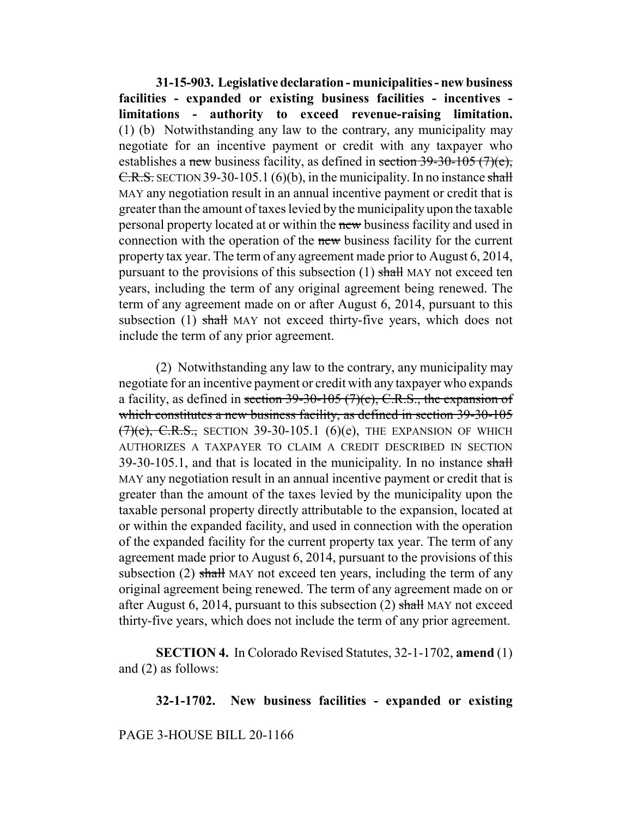**31-15-903. Legislative declaration - municipalities - new business facilities - expanded or existing business facilities - incentives limitations - authority to exceed revenue-raising limitation.** (1) (b) Notwithstanding any law to the contrary, any municipality may negotiate for an incentive payment or credit with any taxpayer who establishes a new business facility, as defined in section  $39-30-105$  (7)(e), C.R.S. SECTION 39-30-105.1 (6)(b), in the municipality. In no instance shall MAY any negotiation result in an annual incentive payment or credit that is greater than the amount of taxes levied by the municipality upon the taxable personal property located at or within the new business facility and used in connection with the operation of the new business facility for the current property tax year. The term of any agreement made prior to August 6, 2014, pursuant to the provisions of this subsection  $(1)$  shall MAY not exceed ten years, including the term of any original agreement being renewed. The term of any agreement made on or after August 6, 2014, pursuant to this subsection (1) shall MAY not exceed thirty-five years, which does not include the term of any prior agreement.

(2) Notwithstanding any law to the contrary, any municipality may negotiate for an incentive payment or credit with any taxpayer who expands a facility, as defined in section  $39-30-105$  (7)(c), C.R.S., the expansion of which constitutes a new business facility, as defined in section 39-30-105  $(7)(e)$ , C.R.S., SECTION 39-30-105.1 (6)(e), THE EXPANSION OF WHICH AUTHORIZES A TAXPAYER TO CLAIM A CREDIT DESCRIBED IN SECTION  $39-30-105.1$ , and that is located in the municipality. In no instance shall MAY any negotiation result in an annual incentive payment or credit that is greater than the amount of the taxes levied by the municipality upon the taxable personal property directly attributable to the expansion, located at or within the expanded facility, and used in connection with the operation of the expanded facility for the current property tax year. The term of any agreement made prior to August 6, 2014, pursuant to the provisions of this subsection  $(2)$  shall MAY not exceed ten years, including the term of any original agreement being renewed. The term of any agreement made on or after August 6, 2014, pursuant to this subsection (2) shall MAY not exceed thirty-five years, which does not include the term of any prior agreement.

**SECTION 4.** In Colorado Revised Statutes, 32-1-1702, **amend** (1) and (2) as follows:

**32-1-1702. New business facilities - expanded or existing**

PAGE 3-HOUSE BILL 20-1166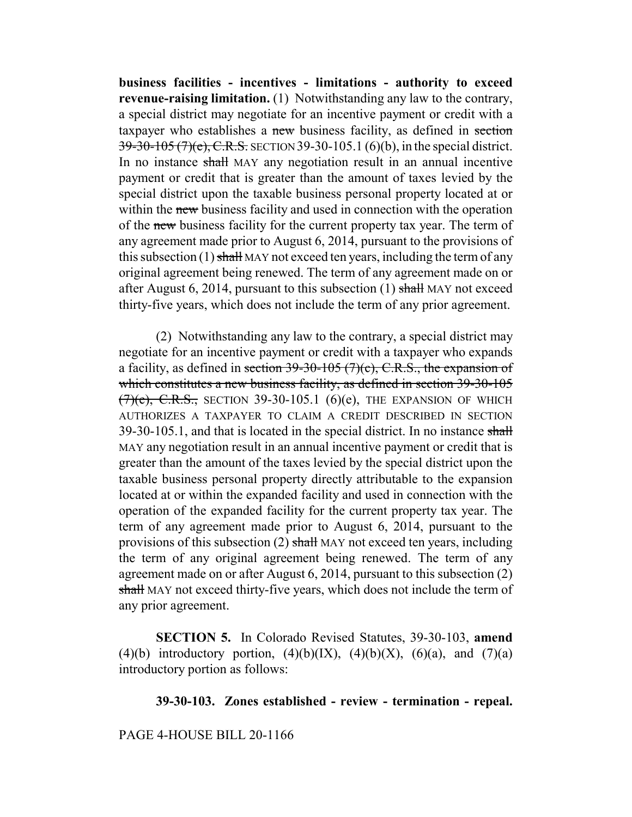**business facilities - incentives - limitations - authority to exceed revenue-raising limitation.** (1) Notwithstanding any law to the contrary, a special district may negotiate for an incentive payment or credit with a taxpayer who establishes a new business facility, as defined in section 39-30-105 (7)(e), C.R.S. SECTION 39-30-105.1 (6)(b), in the special district. In no instance shall MAY any negotiation result in an annual incentive payment or credit that is greater than the amount of taxes levied by the special district upon the taxable business personal property located at or within the new business facility and used in connection with the operation of the new business facility for the current property tax year. The term of any agreement made prior to August 6, 2014, pursuant to the provisions of this subsection  $(1)$  shall MAY not exceed ten years, including the term of any original agreement being renewed. The term of any agreement made on or after August 6, 2014, pursuant to this subsection  $(1)$  shall MAY not exceed thirty-five years, which does not include the term of any prior agreement.

(2) Notwithstanding any law to the contrary, a special district may negotiate for an incentive payment or credit with a taxpayer who expands a facility, as defined in section  $39-30-105$  (7)(c), C.R.S., the expansion of which constitutes a new business facility, as defined in section 39-30-105  $(7)(e)$ , C.R.S., SECTION 39-30-105.1 (6)(e), THE EXPANSION OF WHICH AUTHORIZES A TAXPAYER TO CLAIM A CREDIT DESCRIBED IN SECTION 39-30-105.1, and that is located in the special district. In no instance shall MAY any negotiation result in an annual incentive payment or credit that is greater than the amount of the taxes levied by the special district upon the taxable business personal property directly attributable to the expansion located at or within the expanded facility and used in connection with the operation of the expanded facility for the current property tax year. The term of any agreement made prior to August 6, 2014, pursuant to the provisions of this subsection (2) shall MAY not exceed ten years, including the term of any original agreement being renewed. The term of any agreement made on or after August 6, 2014, pursuant to this subsection (2) shall MAY not exceed thirty-five years, which does not include the term of any prior agreement.

**SECTION 5.** In Colorado Revised Statutes, 39-30-103, **amend** (4)(b) introductory portion, (4)(b)(IX), (4)(b)(X), (6)(a), and (7)(a) introductory portion as follows:

## **39-30-103. Zones established - review - termination - repeal.**

PAGE 4-HOUSE BILL 20-1166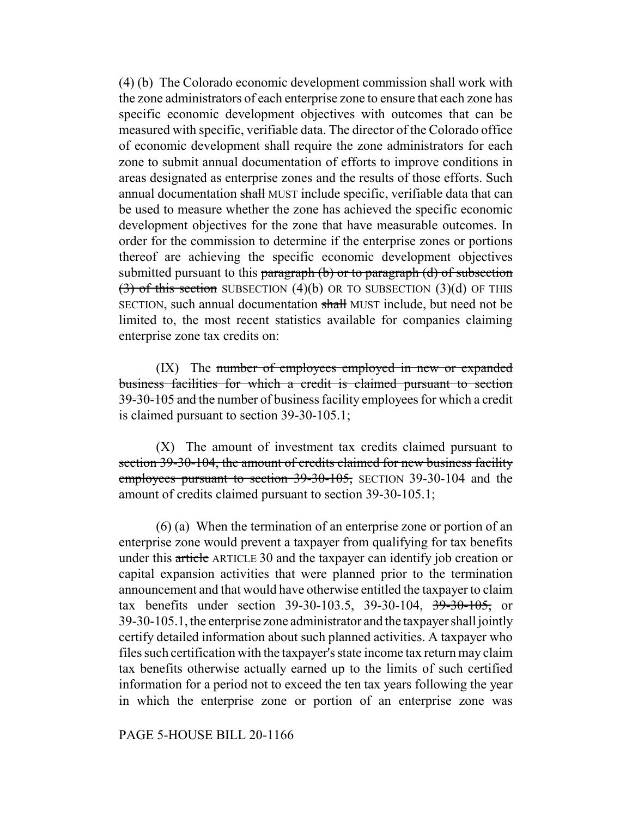(4) (b) The Colorado economic development commission shall work with the zone administrators of each enterprise zone to ensure that each zone has specific economic development objectives with outcomes that can be measured with specific, verifiable data. The director of the Colorado office of economic development shall require the zone administrators for each zone to submit annual documentation of efforts to improve conditions in areas designated as enterprise zones and the results of those efforts. Such annual documentation shall MUST include specific, verifiable data that can be used to measure whether the zone has achieved the specific economic development objectives for the zone that have measurable outcomes. In order for the commission to determine if the enterprise zones or portions thereof are achieving the specific economic development objectives submitted pursuant to this paragraph  $(b)$  or to paragraph  $(d)$  of subsection  $(3)$  of this section SUBSECTION (4)(b) OR TO SUBSECTION (3)(d) OF THIS SECTION, such annual documentation shall MUST include, but need not be limited to, the most recent statistics available for companies claiming enterprise zone tax credits on:

(IX) The number of employees employed in new or expanded business facilities for which a credit is claimed pursuant to section 39-30-105 and the number of business facility employees for which a credit is claimed pursuant to section 39-30-105.1;

(X) The amount of investment tax credits claimed pursuant to section 39-30-104, the amount of credits claimed for new business facility employees pursuant to section 39-30-105, SECTION 39-30-104 and the amount of credits claimed pursuant to section 39-30-105.1;

(6) (a) When the termination of an enterprise zone or portion of an enterprise zone would prevent a taxpayer from qualifying for tax benefits under this article ARTICLE 30 and the taxpayer can identify job creation or capital expansion activities that were planned prior to the termination announcement and that would have otherwise entitled the taxpayer to claim tax benefits under section 39-30-103.5, 39-30-104, 39-30-105, or 39-30-105.1, the enterprise zone administrator and the taxpayer shall jointly certify detailed information about such planned activities. A taxpayer who files such certification with the taxpayer's state income tax return may claim tax benefits otherwise actually earned up to the limits of such certified information for a period not to exceed the ten tax years following the year in which the enterprise zone or portion of an enterprise zone was

## PAGE 5-HOUSE BILL 20-1166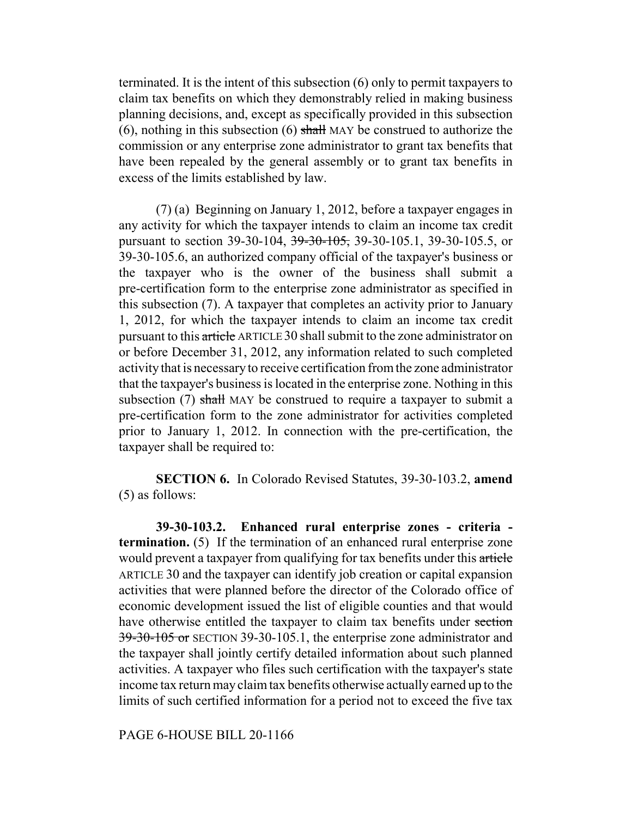terminated. It is the intent of this subsection (6) only to permit taxpayers to claim tax benefits on which they demonstrably relied in making business planning decisions, and, except as specifically provided in this subsection (6), nothing in this subsection (6) shall MAY be construed to authorize the commission or any enterprise zone administrator to grant tax benefits that have been repealed by the general assembly or to grant tax benefits in excess of the limits established by law.

(7) (a) Beginning on January 1, 2012, before a taxpayer engages in any activity for which the taxpayer intends to claim an income tax credit pursuant to section 39-30-104, <del>39-30-105,</del> 39-30-105.1, 39-30-105.5, or 39-30-105.6, an authorized company official of the taxpayer's business or the taxpayer who is the owner of the business shall submit a pre-certification form to the enterprise zone administrator as specified in this subsection (7). A taxpayer that completes an activity prior to January 1, 2012, for which the taxpayer intends to claim an income tax credit pursuant to this article ARTICLE 30 shall submit to the zone administrator on or before December 31, 2012, any information related to such completed activity that is necessary to receive certification from the zone administrator that the taxpayer's business is located in the enterprise zone. Nothing in this subsection  $(7)$  shall MAY be construed to require a taxpayer to submit a pre-certification form to the zone administrator for activities completed prior to January 1, 2012. In connection with the pre-certification, the taxpayer shall be required to:

**SECTION 6.** In Colorado Revised Statutes, 39-30-103.2, **amend** (5) as follows:

**39-30-103.2. Enhanced rural enterprise zones - criteria termination.** (5) If the termination of an enhanced rural enterprise zone would prevent a taxpayer from qualifying for tax benefits under this article ARTICLE 30 and the taxpayer can identify job creation or capital expansion activities that were planned before the director of the Colorado office of economic development issued the list of eligible counties and that would have otherwise entitled the taxpayer to claim tax benefits under section 39-30-105 or SECTION 39-30-105.1, the enterprise zone administrator and the taxpayer shall jointly certify detailed information about such planned activities. A taxpayer who files such certification with the taxpayer's state income tax return may claim tax benefits otherwise actually earned up to the limits of such certified information for a period not to exceed the five tax

PAGE 6-HOUSE BILL 20-1166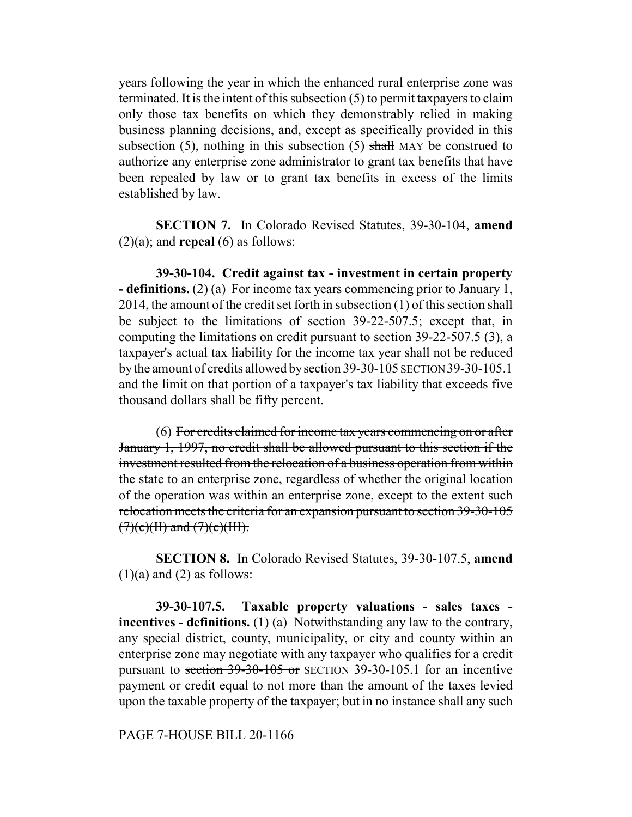years following the year in which the enhanced rural enterprise zone was terminated. It is the intent of this subsection (5) to permit taxpayers to claim only those tax benefits on which they demonstrably relied in making business planning decisions, and, except as specifically provided in this subsection  $(5)$ , nothing in this subsection  $(5)$  shall MAY be construed to authorize any enterprise zone administrator to grant tax benefits that have been repealed by law or to grant tax benefits in excess of the limits established by law.

**SECTION 7.** In Colorado Revised Statutes, 39-30-104, **amend**  $(2)(a)$ ; and **repeal**  $(6)$  as follows:

**39-30-104. Credit against tax - investment in certain property - definitions.** (2) (a) For income tax years commencing prior to January 1, 2014, the amount of the credit set forth in subsection (1) of this section shall be subject to the limitations of section 39-22-507.5; except that, in computing the limitations on credit pursuant to section 39-22-507.5 (3), a taxpayer's actual tax liability for the income tax year shall not be reduced by the amount of credits allowed by section 39-30-105 SECTION 39-30-105.1 and the limit on that portion of a taxpayer's tax liability that exceeds five thousand dollars shall be fifty percent.

(6) For credits claimed for income tax years commencing on or after January 1, 1997, no credit shall be allowed pursuant to this section if the investment resulted from the relocation of a business operation from within the state to an enterprise zone, regardless of whether the original location of the operation was within an enterprise zone, except to the extent such relocation meets the criteria for an expansion pursuant to section 39-30-105  $(7)(e)(H)$  and  $(7)(e)(HH)$ .

**SECTION 8.** In Colorado Revised Statutes, 39-30-107.5, **amend**  $(1)(a)$  and  $(2)$  as follows:

**39-30-107.5. Taxable property valuations - sales taxes incentives - definitions.** (1) (a) Notwithstanding any law to the contrary, any special district, county, municipality, or city and county within an enterprise zone may negotiate with any taxpayer who qualifies for a credit pursuant to section 39-30-105 or SECTION 39-30-105.1 for an incentive payment or credit equal to not more than the amount of the taxes levied upon the taxable property of the taxpayer; but in no instance shall any such

PAGE 7-HOUSE BILL 20-1166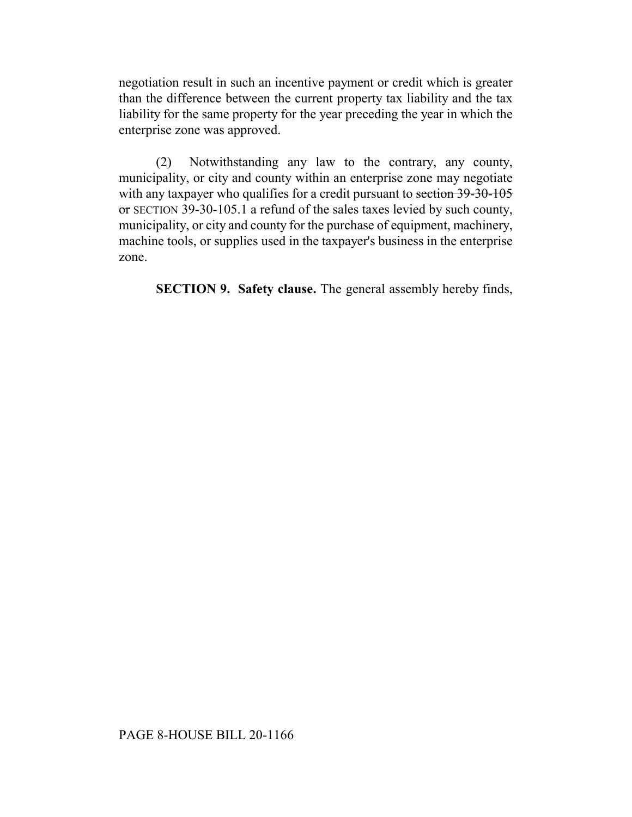negotiation result in such an incentive payment or credit which is greater than the difference between the current property tax liability and the tax liability for the same property for the year preceding the year in which the enterprise zone was approved.

(2) Notwithstanding any law to the contrary, any county, municipality, or city and county within an enterprise zone may negotiate with any taxpayer who qualifies for a credit pursuant to section 39-30-105 or SECTION 39-30-105.1 a refund of the sales taxes levied by such county, municipality, or city and county for the purchase of equipment, machinery, machine tools, or supplies used in the taxpayer's business in the enterprise zone.

**SECTION 9. Safety clause.** The general assembly hereby finds,